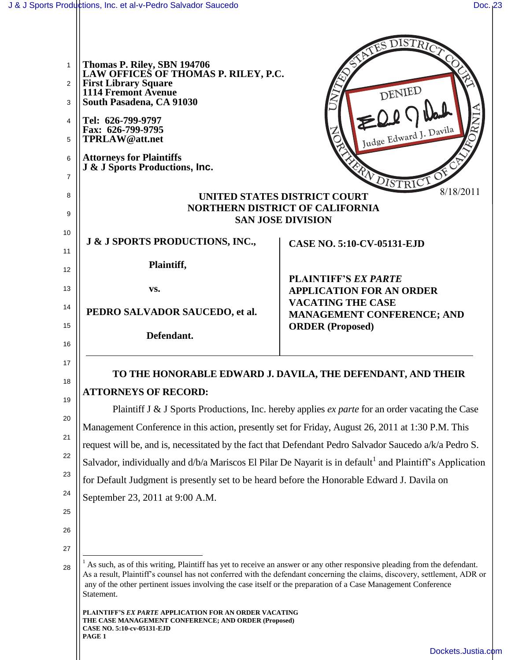$\mathbf{\mathsf{H}}$ 

|          |                                                                                                                                                                                                                                                                                                                                                                                        | ATES DISTRICT                                                |
|----------|----------------------------------------------------------------------------------------------------------------------------------------------------------------------------------------------------------------------------------------------------------------------------------------------------------------------------------------------------------------------------------------|--------------------------------------------------------------|
| 1<br>2   | Thomas P. Riley, SBN 194706<br>LAW OFFICES OF THOMAS P. RILEY, P.C.<br><b>First Library Square</b>                                                                                                                                                                                                                                                                                     |                                                              |
| 3        | 1114 Fremont Avenue<br>South Pasadena, CA 91030                                                                                                                                                                                                                                                                                                                                        | DENIED                                                       |
| 4        | Tel: 626-799-9797                                                                                                                                                                                                                                                                                                                                                                      |                                                              |
| 5        | Fax: 626-799-9795<br>TPRLAW@att.net                                                                                                                                                                                                                                                                                                                                                    | Judge Edward J. Davila                                       |
| 6        | <b>Attorneys for Plaintiffs</b><br>J & J Sports Productions, Inc.                                                                                                                                                                                                                                                                                                                      |                                                              |
| 7        |                                                                                                                                                                                                                                                                                                                                                                                        | RA DISTRICT                                                  |
| 8        | 8/18/2011<br><b>UNITED STATES DISTRICT COURT</b><br><b>NORTHERN DISTRICT OF CALIFORNIA</b>                                                                                                                                                                                                                                                                                             |                                                              |
| 9        | <b>SAN JOSE DIVISION</b>                                                                                                                                                                                                                                                                                                                                                               |                                                              |
| 10       | J & J SPORTS PRODUCTIONS, INC.,                                                                                                                                                                                                                                                                                                                                                        | <b>CASE NO. 5:10-CV-05131-EJD</b>                            |
| 11       | Plaintiff,                                                                                                                                                                                                                                                                                                                                                                             |                                                              |
| 12<br>13 | VS.                                                                                                                                                                                                                                                                                                                                                                                    | <b>PLAINTIFF'S EX PARTE</b>                                  |
| 14       |                                                                                                                                                                                                                                                                                                                                                                                        | <b>APPLICATION FOR AN ORDER</b><br><b>VACATING THE CASE</b>  |
| 15       | PEDRO SALVADOR SAUCEDO, et al.                                                                                                                                                                                                                                                                                                                                                         | <b>MANAGEMENT CONFERENCE; AND</b><br><b>ORDER</b> (Proposed) |
| 16       | Defendant.                                                                                                                                                                                                                                                                                                                                                                             |                                                              |
| 17       | TO THE HONORABLE EDWARD J. DAVILA, THE DEFENDANT, AND THEIR                                                                                                                                                                                                                                                                                                                            |                                                              |
| 18       | <b>ATTORNEYS OF RECORD:</b>                                                                                                                                                                                                                                                                                                                                                            |                                                              |
| 19<br>20 | Plaintiff J & J Sports Productions, Inc. hereby applies <i>ex parte</i> for an order vacating the Case                                                                                                                                                                                                                                                                                 |                                                              |
| 21       | Management Conference in this action, presently set for Friday, August 26, 2011 at 1:30 P.M. This                                                                                                                                                                                                                                                                                      |                                                              |
| 22       | request will be, and is, necessitated by the fact that Defendant Pedro Salvador Saucedo a/k/a Pedro S.                                                                                                                                                                                                                                                                                 |                                                              |
| 23       | Salvador, individually and d/b/a Mariscos El Pilar De Nayarit is in default <sup>1</sup> and Plaintiff's Application                                                                                                                                                                                                                                                                   |                                                              |
| 24       | for Default Judgment is presently set to be heard before the Honorable Edward J. Davila on                                                                                                                                                                                                                                                                                             |                                                              |
| 25       | September 23, 2011 at 9:00 A.M.                                                                                                                                                                                                                                                                                                                                                        |                                                              |
| 26       |                                                                                                                                                                                                                                                                                                                                                                                        |                                                              |
| 27       |                                                                                                                                                                                                                                                                                                                                                                                        |                                                              |
| 28       | As such, as of this writing, Plaintiff has yet to receive an answer or any other responsive pleading from the defendant.<br>As a result, Plaintiff's counsel has not conferred with the defendant concerning the claims, discovery, settlement, ADR or<br>any of the other pertinent issues involving the case itself or the preparation of a Case Management Conference<br>Statement. |                                                              |
|          | <b>PLAINTIFF'S EX PARTE APPLICATION FOR AN ORDER VACATING</b><br>THE CASE MANAGEMENT CONFERENCE; AND ORDER (Proposed)<br>CASE NO. 5:10-cv-05131-EJD<br>PAGE 1                                                                                                                                                                                                                          |                                                              |